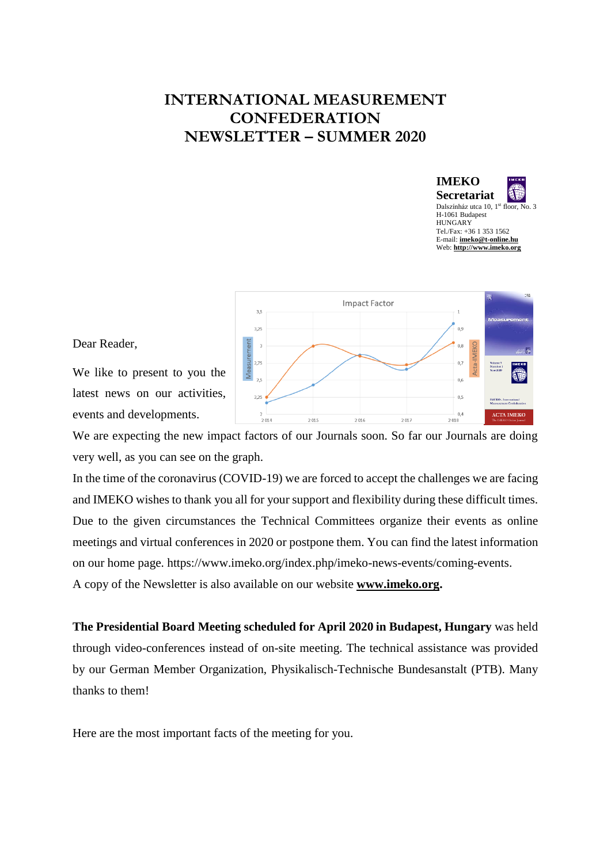## **INTERNATIONAL MEASUREMENT CONFEDERATION NEWSLETTER – SUMMER 2020**





Dear Reader,

We like to present to you the latest news on our activities, events and developments.

We are expecting the new impact factors of our Journals soon. So far our Journals are doing very well, as you can see on the graph.

In the time of the coronavirus (COVID-19) we are forced to accept the challenges we are facing and IMEKO wishes to thank you all for your support and flexibility during these difficult times. Due to the given circumstances the Technical Committees organize their events as online meetings and virtual conferences in 2020 or postpone them. You can find the latest information on our home page. https://www.imeko.org/index.php/imeko-news-events/coming-events.

A copy of the Newsletter is also available on our website **[www.imeko.org.](http://www.imeko.org/)**

**The Presidential Board Meeting scheduled for April 2020 in Budapest, Hungary** was held through video-conferences instead of on-site meeting. The technical assistance was provided by our German Member Organization, Physikalisch-Technische Bundesanstalt (PTB). Many thanks to them!

Here are the most important facts of the meeting for you.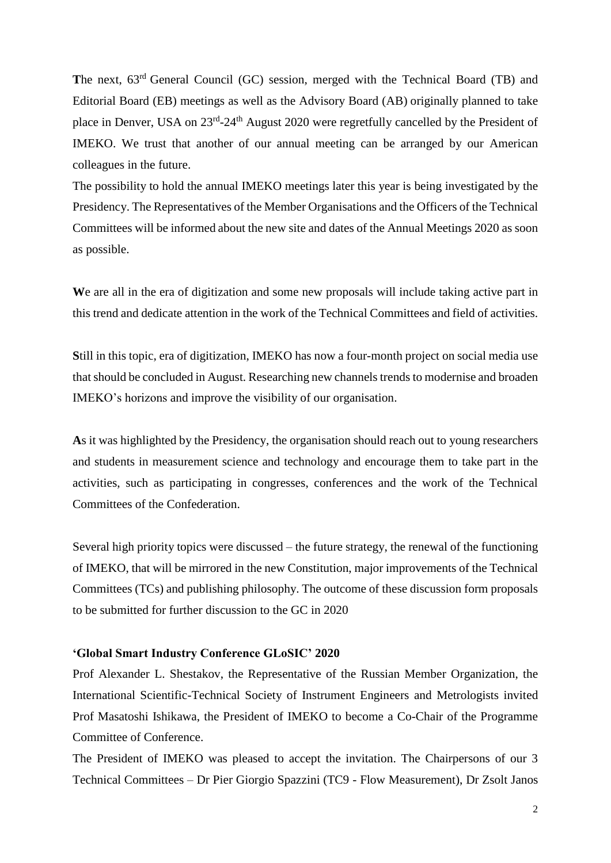**T**he next, 63rd General Council (GC) session, merged with the Technical Board (TB) and Editorial Board (EB) meetings as well as the Advisory Board (AB) originally planned to take place in Denver, USA on 23<sup>rd</sup>-24<sup>th</sup> August 2020 were regretfully cancelled by the President of IMEKO. We trust that another of our annual meeting can be arranged by our American colleagues in the future.

The possibility to hold the annual IMEKO meetings later this year is being investigated by the Presidency. The Representatives of the Member Organisations and the Officers of the Technical Committees will be informed about the new site and dates of the Annual Meetings 2020 as soon as possible.

We are all in the era of digitization and some new proposals will include taking active part in this trend and dedicate attention in the work of the Technical Committees and field of activities.

**S**till in this topic, era of digitization, IMEKO has now a four-month project on social media use that should be concluded in August. Researching new channels trends to modernise and broaden IMEKO's horizons and improve the visibility of our organisation.

**A**s it was highlighted by the Presidency, the organisation should reach out to young researchers and students in measurement science and technology and encourage them to take part in the activities, such as participating in congresses, conferences and the work of the Technical Committees of the Confederation.

Several high priority topics were discussed – the future strategy, the renewal of the functioning of IMEKO, that will be mirrored in the new Constitution, major improvements of the Technical Committees (TCs) and publishing philosophy. The outcome of these discussion form proposals to be submitted for further discussion to the GC in 2020

## **'Global Smart Industry Conference GLoSIC' 2020**

Prof Alexander L. Shestakov, the Representative of the Russian Member Organization, the International Scientific-Technical Society of Instrument Engineers and Metrologists invited Prof Masatoshi Ishikawa, the President of IMEKO to become a Co-Chair of the Programme Committee of Conference.

The President of IMEKO was pleased to accept the invitation. The Chairpersons of our 3 Technical Committees – Dr Pier Giorgio Spazzini (TC9 - Flow Measurement), Dr Zsolt Janos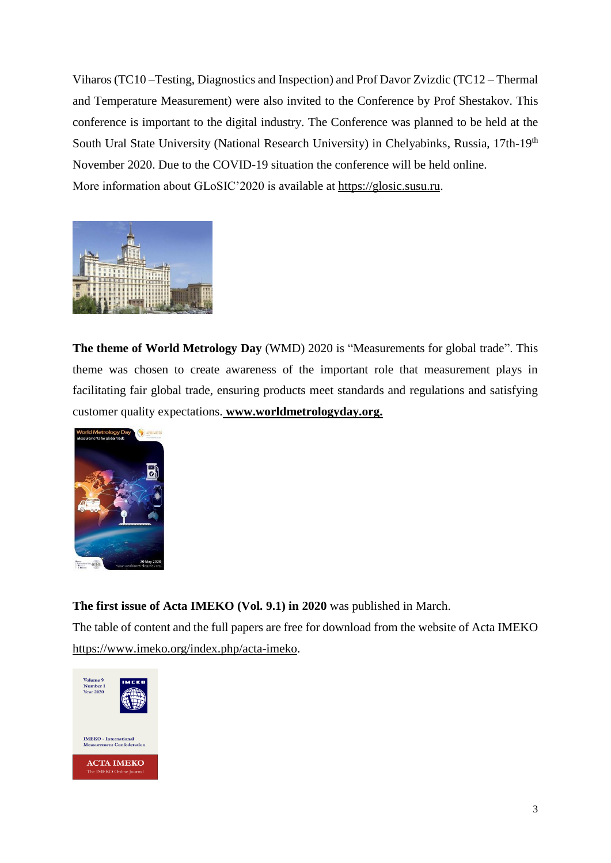Viharos (TC10 –Testing, Diagnostics and Inspection) and Prof Davor Zvizdic (TC12 – Thermal and Temperature Measurement) were also invited to the Conference by Prof Shestakov. This conference is important to the digital industry. The Conference was planned to be held at the South Ural State University (National Research University) in Chelyabinks, Russia, 17th-19<sup>th</sup> November 2020. Due to the COVID-19 situation the conference will be held online. More information about GLoSIC'2020 is available at [https://glosic.susu.ru.](https://glosic.susu.ru/)



**The theme of World Metrology Day** (WMD) 2020 is "Measurements for global trade". This theme was chosen to create awareness of the important role that measurement plays in facilitating fair global trade, ensuring products meet standards and regulations and satisfying customer quality expectations. **[www.worldmetrologyday.org.](http://www.worldmetrologyday.org./)**



**The first issue of Acta IMEKO (Vol. 9.1) in 2020** was published in March.

The table of content and the full papers are free for download from the website of Acta IMEKO [https://www.imeko.org/index.php/acta-imeko.](https://www.imeko.org/index.php/acta-imeko)